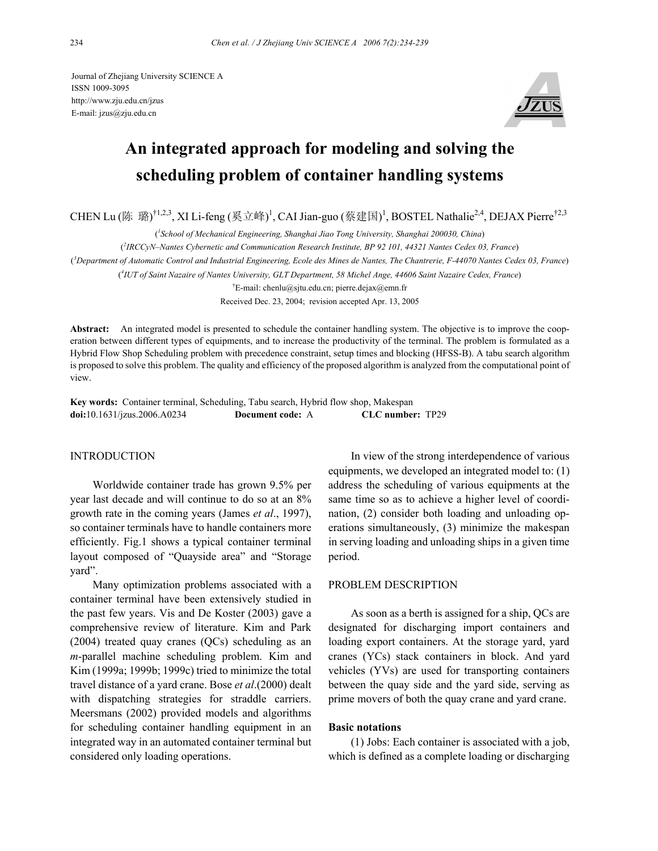Journal of Zhejiang University SCIENCE A ISSN 1009-3095 http://www.zju.edu.cn/jzus E-mail: jzus@zju.edu.cn



# **An integrated approach for modeling and solving the scheduling problem of container handling systems**

CHEN Lu (陈 璐)<sup>†1,2,3</sup>, XI Li-feng (奚立峰)<sup>1</sup>, CAI Jian-guo (蔡建国)<sup>1</sup>, BOSTEL Nathalie<sup>2,4</sup>, DEJAX Pierre<sup>†2,3</sup>

( *1 School of Mechanical Engineering, Shanghai Jiao Tong University, Shanghai 200030, China*)

( *2 IRCCyN–Nantes Cybernetic and Communication Research Institute, BP 92 101, 44321 Nantes Cedex 03, France*)

( *3 Department of Automatic Control and Industrial Engineering, Ecole des Mines de Nantes, The Chantrerie, F-44070 Nantes Cedex 03, France*)

( *4 IUT of Saint Nazaire of Nantes University, GLT Department, 58 Michel Ange, 44606 Saint Nazaire Cedex, France*)

† E-mail: chenlu@sjtu.edu.cn; pierre.dejax@emn.fr

Received Dec. 23, 2004; revision accepted Apr. 13, 2005

**Abstract:** An integrated model is presented to schedule the container handling system. The objective is to improve the cooperation between different types of equipments, and to increase the productivity of the terminal. The problem is formulated as a Hybrid Flow Shop Scheduling problem with precedence constraint, setup times and blocking (HFSS-B). A tabu search algorithm is proposed to solve this problem. The quality and efficiency of the proposed algorithm is analyzed from the computational point of view.

**Key words:** Container terminal, Scheduling, Tabu search, Hybrid flow shop, Makespan **doi:**10.1631/jzus.2006.A0234 **Document code:** A **CLC number:** TP29

## INTRODUCTION

Worldwide container trade has grown 9.5% per year last decade and will continue to do so at an 8% growth rate in the coming years (James *et al*., 1997), so container terminals have to handle containers more efficiently. Fig.1 shows a typical container terminal layout composed of "Quayside area" and "Storage yard".

Many optimization problems associated with a container terminal have been extensively studied in the past few years. Vis and De Koster (2003) gave a comprehensive review of literature. Kim and Park (2004) treated quay cranes (QCs) scheduling as an *m*-parallel machine scheduling problem. Kim and Kim (1999a; 1999b; 1999c) tried to minimize the total travel distance of a yard crane. Bose *et al*.(2000) dealt with dispatching strategies for straddle carriers. Meersmans (2002) provided models and algorithms for scheduling container handling equipment in an integrated way in an automated container terminal but considered only loading operations.

In view of the strong interdependence of various equipments, we developed an integrated model to: (1) address the scheduling of various equipments at the same time so as to achieve a higher level of coordination, (2) consider both loading and unloading operations simultaneously, (3) minimize the makespan in serving loading and unloading ships in a given time period.

# PROBLEM DESCRIPTION

As soon as a berth is assigned for a ship, QCs are designated for discharging import containers and loading export containers. At the storage yard, yard cranes (YCs) stack containers in block. And yard vehicles (YVs) are used for transporting containers between the quay side and the yard side, serving as prime movers of both the quay crane and yard crane.

# **Basic notations**

(1) Jobs: Each container is associated with a job, which is defined as a complete loading or discharging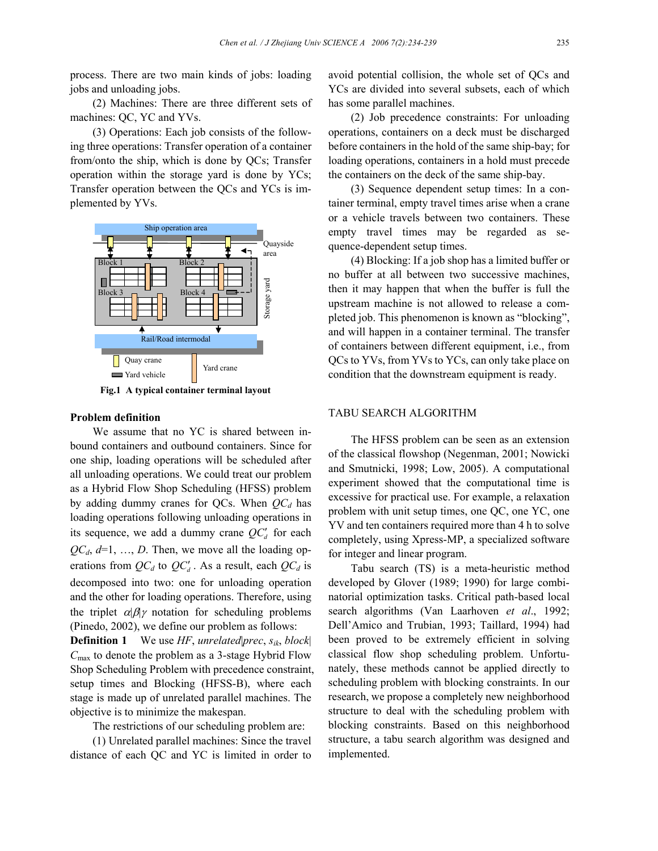process. There are two main kinds of jobs: loading jobs and unloading jobs.

(2) Machines: There are three different sets of machines: QC, YC and YVs.

(3) Operations: Each job consists of the following three operations: Transfer operation of a container from/onto the ship, which is done by QCs; Transfer operation within the storage yard is done by YCs; Transfer operation between the QCs and YCs is implemented by YVs.



**Fig.1 A typical container terminal layout**

# **Problem definition**

We assume that no YC is shared between inbound containers and outbound containers. Since for one ship, loading operations will be scheduled after all unloading operations. We could treat our problem as a Hybrid Flow Shop Scheduling (HFSS) problem by adding dummy cranes for QCs. When  $QC_d$  has loading operations following unloading operations in its sequence, we add a dummy crane  $QC_d$  for each  $QC_d$ ,  $d=1, ..., D$ . Then, we move all the loading operations from  $QC_d$  to  $QC'_d$ . As a result, each  $QC_d$  is decomposed into two: one for unloading operation and the other for loading operations. Therefore, using the triplet  $\alpha|\beta|\gamma$  notation for scheduling problems (Pinedo, 2002), we define our problem as follows:

**Definition 1** We use *HF*, *unrelated*|*prec*, *sik*, *block*| *C*max to denote the problem as a 3-stage Hybrid Flow Shop Scheduling Problem with precedence constraint, setup times and Blocking (HFSS-B), where each stage is made up of unrelated parallel machines. The objective is to minimize the makespan.

The restrictions of our scheduling problem are:

(1) Unrelated parallel machines: Since the travel distance of each QC and YC is limited in order to

avoid potential collision, the whole set of QCs and YCs are divided into several subsets, each of which has some parallel machines.

(2) Job precedence constraints: For unloading operations, containers on a deck must be discharged before containers in the hold of the same ship-bay; for loading operations, containers in a hold must precede the containers on the deck of the same ship-bay.

(3) Sequence dependent setup times: In a container terminal, empty travel times arise when a crane or a vehicle travels between two containers. These empty travel times may be regarded as sequence-dependent setup times.

(4) Blocking: If a job shop has a limited buffer or no buffer at all between two successive machines, then it may happen that when the buffer is full the upstream machine is not allowed to release a completed job. This phenomenon is known as "blocking", and will happen in a container terminal. The transfer of containers between different equipment, i.e., from QCs to YVs, from YVs to YCs, can only take place on condition that the downstream equipment is ready.

# TABU SEARCH ALGORITHM

The HFSS problem can be seen as an extension of the classical flowshop (Negenman, 2001; Nowicki and Smutnicki, 1998; Low, 2005). A computational experiment showed that the computational time is excessive for practical use. For example, a relaxation problem with unit setup times, one QC, one YC, one YV and ten containers required more than 4 h to solve completely, using Xpress-MP, a specialized software for integer and linear program.

Tabu search (TS) is a meta-heuristic method developed by Glover (1989; 1990) for large combinatorial optimization tasks. Critical path-based local search algorithms (Van Laarhoven *et al*., 1992; Dell'Amico and Trubian, 1993; Taillard, 1994) had been proved to be extremely efficient in solving classical flow shop scheduling problem. Unfortunately, these methods cannot be applied directly to scheduling problem with blocking constraints. In our research, we propose a completely new neighborhood structure to deal with the scheduling problem with blocking constraints. Based on this neighborhood structure, a tabu search algorithm was designed and implemented.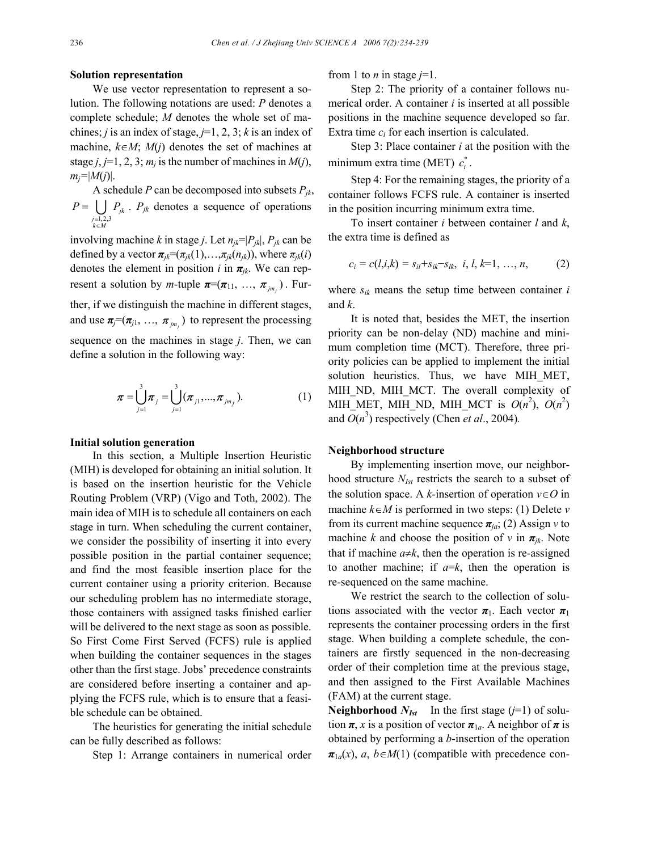#### **Solution representation**

We use vector representation to represent a solution. The following notations are used: *P* denotes a complete schedule; *M* denotes the whole set of machines; *j* is an index of stage,  $j=1, 2, 3$ ; *k* is an index of machine,  $k \in M$ ;  $M(i)$  denotes the set of machines at stage  $j$ ,  $j=1, 2, 3$ ;  $m_j$  is the number of machines in  $M(j)$ ,  $m_j = |M(j)|$ .

A schedule *P* can be decomposed into subsets  $P_{ik}$ ,  $\bigcup_{\substack{j=1,2,3 \ k \in M}} I_{jk}$ *P* =  $\left\lfloor \ \right\rfloor$  *P* = ∈  $= \bigcup P_{jk}$ . *P<sub>jk</sub>* denotes a sequence of operations

involving machine *k* in stage *j*. Let  $n_{jk}=|P_{jk}|$ ,  $P_{jk}$  can be defined by a vector  $\pi_{ik}=(\pi_{ik}(1),\ldots,\pi_{ik}(n_{ik}))$ , where  $\pi_{ik}(i)$ denotes the element in position *i* in  $\pi_{jk}$ . We can represent a solution by *m*-tuple  $\pi = (\pi_{11}, \ldots, \pi_{j m_i})$ . Further, if we distinguish the machine in different stages, and use  $\pi_j = (\pi_{j1}, \ldots, \pi_{jm_j})$  to represent the processing sequence on the machines in stage *j*. Then, we can define a solution in the following way:

$$
\boldsymbol{\pi} = \bigcup_{j=1}^{3} \boldsymbol{\pi}_{j} = \bigcup_{j=1}^{3} (\boldsymbol{\pi}_{j1},...,\boldsymbol{\pi}_{jm_{j}}). \tag{1}
$$

#### **Initial solution generation**

In this section, a Multiple Insertion Heuristic (MIH) is developed for obtaining an initial solution. It is based on the insertion heuristic for the Vehicle Routing Problem (VRP) (Vigo and Toth, 2002). The main idea of MIH is to schedule all containers on each stage in turn. When scheduling the current container, we consider the possibility of inserting it into every possible position in the partial container sequence; and find the most feasible insertion place for the current container using a priority criterion. Because our scheduling problem has no intermediate storage, those containers with assigned tasks finished earlier will be delivered to the next stage as soon as possible. So First Come First Served (FCFS) rule is applied when building the container sequences in the stages other than the first stage. Jobs' precedence constraints are considered before inserting a container and applying the FCFS rule, which is to ensure that a feasible schedule can be obtained.

The heuristics for generating the initial schedule can be fully described as follows:

Step 1: Arrange containers in numerical order

from 1 to *n* in stage  $j=1$ .

Step 2: The priority of a container follows numerical order. A container *i* is inserted at all possible positions in the machine sequence developed so far. Extra time *ci* for each insertion is calculated.

Step 3: Place container *i* at the position with the minimum extra time (MET)  $c_i^*$ .

Step 4: For the remaining stages, the priority of a container follows FCFS rule. A container is inserted in the position incurring minimum extra time.

To insert container *i* between container *l* and *k*, the extra time is defined as

$$
c_i = c(l, i, k) = s_{il} + s_{ik} - s_{lk}, \ i, l, k = 1, ..., n,
$$
 (2)

where *sik* means the setup time between container *i* and *k*.

It is noted that, besides the MET, the insertion priority can be non-delay (ND) machine and minimum completion time (MCT). Therefore, three priority policies can be applied to implement the initial solution heuristics. Thus, we have MIH\_MET, MIH\_ND, MIH\_MCT. The overall complexity of MIH\_MET, MIH\_ND, MIH\_MCT is  $O(n^2)$ ,  $O(n^2)$ and  $O(n^3)$  respectively (Chen *et al.*, 2004).

#### **Neighborhood structure**

By implementing insertion move, our neighborhood structure *NIst* restricts the search to a subset of the solution space. A *k*-insertion of operation  $v \in O$  in machine *k*∈*M* is performed in two steps: (1) Delete *v* from its current machine sequence *πja*; (2) Assign *v* to machine *k* and choose the position of *v* in  $\pi_{jk}$ . Note that if machine  $a \neq k$ , then the operation is re-assigned to another machine; if  $a=k$ , then the operation is re-sequenced on the same machine.

We restrict the search to the collection of solutions associated with the vector  $\pi_1$ . Each vector  $\pi_1$ represents the container processing orders in the first stage. When building a complete schedule, the containers are firstly sequenced in the non-decreasing order of their completion time at the previous stage, and then assigned to the First Available Machines (FAM) at the current stage.

**Neighborhood**  $N_{Ist}$  In the first stage ( $j=1$ ) of solution  $\pi$ , *x* is a position of vector  $\pi_{1a}$ . A neighbor of  $\pi$  is obtained by performing a *b*-insertion of the operation  $\pi_{1a}(x)$ , *a*, *b*∈*M*(1) (compatible with precedence con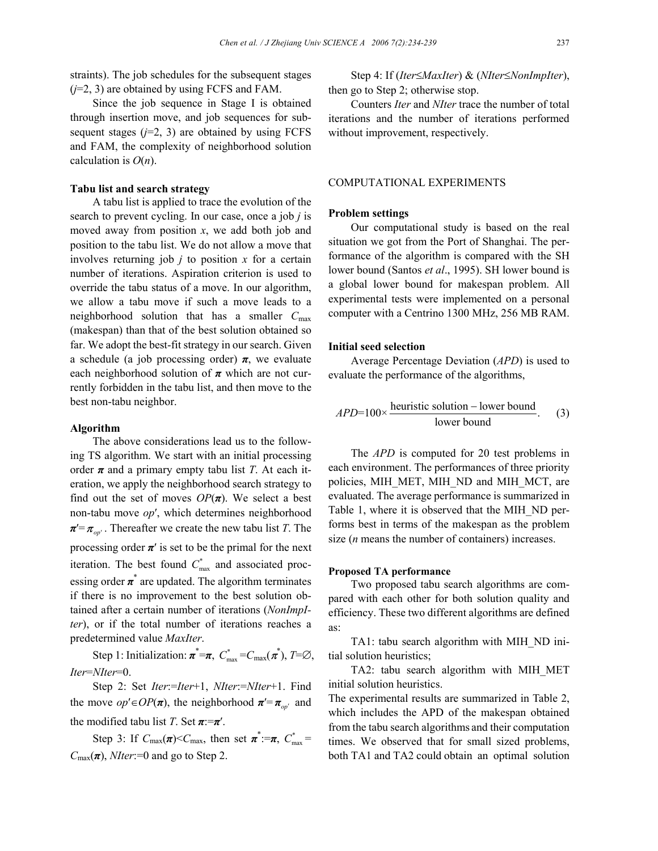straints). The job schedules for the subsequent stages (*j*=2, 3) are obtained by using FCFS and FAM.

Since the job sequence in Stage I is obtained through insertion move, and job sequences for subsequent stages  $(j=2, 3)$  are obtained by using FCFS and FAM, the complexity of neighborhood solution calculation is *O*(*n*).

# **Tabu list and search strategy**

A tabu list is applied to trace the evolution of the search to prevent cycling. In our case, once a job *j* is moved away from position *x*, we add both job and position to the tabu list. We do not allow a move that involves returning job *j* to position *x* for a certain number of iterations. Aspiration criterion is used to override the tabu status of a move. In our algorithm, we allow a tabu move if such a move leads to a neighborhood solution that has a smaller *C*max (makespan) than that of the best solution obtained so far. We adopt the best-fit strategy in our search. Given a schedule (a job processing order)  $\pi$ , we evaluate each neighborhood solution of *π* which are not currently forbidden in the tabu list, and then move to the best non-tabu neighbor.

## **Algorithm**

The above considerations lead us to the following TS algorithm. We start with an initial processing order  $\pi$  and a primary empty tabu list *T*. At each iteration, we apply the neighborhood search strategy to find out the set of moves  $OP(\pi)$ . We select a best non-tabu move *op*′, which determines neighborhood  $\pi' = \pi_{\text{on}'}$ . Thereafter we create the new tabu list *T*. The processing order  $\pi'$  is set to be the primal for the next iteration. The best found  $C_{\text{max}}^*$  and associated processing order  $\pi^*$  are updated. The algorithm terminates if there is no improvement to the best solution obtained after a certain number of iterations (*NonImpIter*), or if the total number of iterations reaches a predetermined value *MaxIter*.

Step 1: Initialization:  $\pi^* = \pi$ ,  $C^*_{\text{max}} = C_{\text{max}}(\pi^*)$ ,  $T = \emptyset$ , *Iter*=*NIter*=0.

Step 2: Set *Iter*:=*Iter*+1, *NIter*:=*NIter*+1. Find the move  $op' \in OP(\pi)$ , the neighborhood  $\pi' = \pi_{op'}$  and the modified tabu list *T*. Set  $\pi:=\pi'$ .

Step 3: If  $C_{\text{max}}(\pi) < C_{\text{max}}$ , then set  $\pi^* := \pi$ ,  $C_{\text{max}}^* =$  $C_{\text{max}}(\pi)$ , *NIter*:=0 and go to Step 2.

Step 4: If (*Iter*≤*MaxIter*) & (*NIter*≤*NonImpIter*), then go to Step 2; otherwise stop.

Counters *Iter* and *NIter* trace the number of total iterations and the number of iterations performed without improvement, respectively.

## COMPUTATIONAL EXPERIMENTS

## **Problem settings**

Our computational study is based on the real situation we got from the Port of Shanghai. The performance of the algorithm is compared with the SH lower bound (Santos *et al*., 1995). SH lower bound is a global lower bound for makespan problem. All experimental tests were implemented on a personal computer with a Centrino 1300 MHz, 256 MB RAM.

#### **Initial seed selection**

Average Percentage Deviation (*APD*) is used to evaluate the performance of the algorithms,

$$
APD=100\times\frac{\text{heuristic solution} - \text{lower bound}}{\text{lower bound}}.\tag{3}
$$

The *APD* is computed for 20 test problems in each environment. The performances of three priority policies, MIH\_MET, MIH\_ND and MIH\_MCT, are evaluated. The average performance is summarized in Table 1, where it is observed that the MIH\_ND performs best in terms of the makespan as the problem size (*n* means the number of containers) increases.

#### **Proposed TA performance**

Two proposed tabu search algorithms are compared with each other for both solution quality and efficiency. These two different algorithms are defined as:

TA1: tabu search algorithm with MIH\_ND initial solution heuristics;

TA2: tabu search algorithm with MIH\_MET initial solution heuristics.

The experimental results are summarized in Table 2, which includes the APD of the makespan obtained from the tabu search algorithms and their computation times. We observed that for small sized problems, both TA1 and TA2 could obtain an optimal solution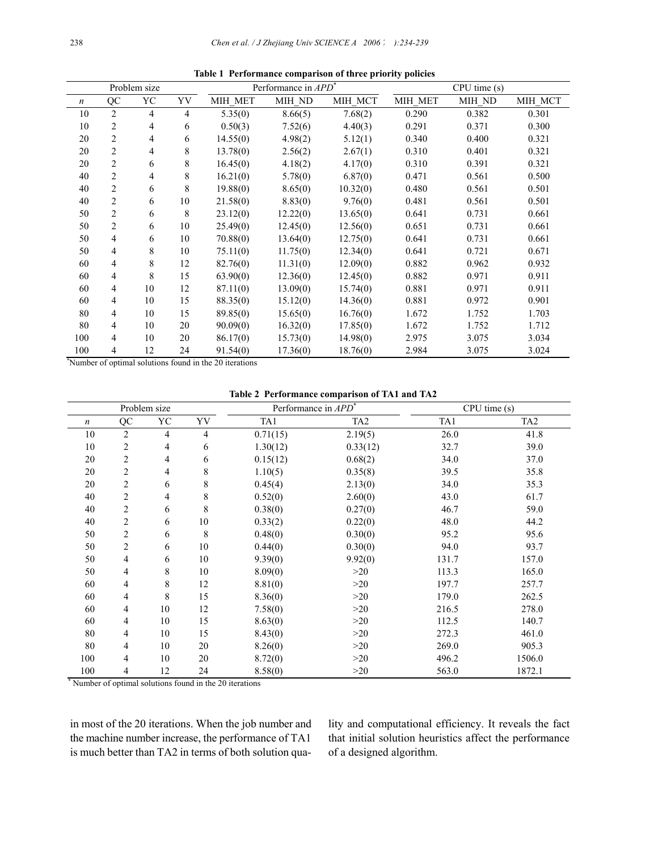|                  |                | Problem size |                | Performance in APD <sup>*</sup> |          |          | CPU time(s) |        |         |
|------------------|----------------|--------------|----------------|---------------------------------|----------|----------|-------------|--------|---------|
| $\boldsymbol{n}$ | QC             | YC           | YV             | MIH MET                         | MIH ND   | MIH MCT  | MIH MET     | MIH ND | MIH MCT |
| 10               | $\overline{c}$ | 4            | $\overline{4}$ | 5.35(0)                         | 8.66(5)  | 7.68(2)  | 0.290       | 0.382  | 0.301   |
| 10               | 2              | 4            | 6              | 0.50(3)                         | 7.52(6)  | 4.40(3)  | 0.291       | 0.371  | 0.300   |
| 20               | $\overline{c}$ | 4            | 6              | 14.55(0)                        | 4.98(2)  | 5.12(1)  | 0.340       | 0.400  | 0.321   |
| 20               | $\overline{c}$ | 4            | 8              | 13.78(0)                        | 2.56(2)  | 2.67(1)  | 0.310       | 0.401  | 0.321   |
| 20               | 2              | 6            | 8              | 16.45(0)                        | 4.18(2)  | 4.17(0)  | 0.310       | 0.391  | 0.321   |
| 40               | 2              | 4            | 8              | 16.21(0)                        | 5.78(0)  | 6.87(0)  | 0.471       | 0.561  | 0.500   |
| 40               | $\overline{c}$ | 6            | 8              | 19.88(0)                        | 8.65(0)  | 10.32(0) | 0.480       | 0.561  | 0.501   |
| 40               | 2              | 6            | 10             | 21.58(0)                        | 8.83(0)  | 9.76(0)  | 0.481       | 0.561  | 0.501   |
| 50               | 2              | 6            | 8              | 23.12(0)                        | 12.22(0) | 13.65(0) | 0.641       | 0.731  | 0.661   |
| 50               | 2              | 6            | 10             | 25.49(0)                        | 12.45(0) | 12.56(0) | 0.651       | 0.731  | 0.661   |
| 50               | 4              | 6            | 10             | 70.88(0)                        | 13.64(0) | 12.75(0) | 0.641       | 0.731  | 0.661   |
| 50               | 4              | 8            | 10             | 75.11(0)                        | 11.75(0) | 12.34(0) | 0.641       | 0.721  | 0.671   |
| 60               | 4              | 8            | 12             | 82.76(0)                        | 11.31(0) | 12.09(0) | 0.882       | 0.962  | 0.932   |
| 60               | 4              | 8            | 15             | 63.90(0)                        | 12.36(0) | 12.45(0) | 0.882       | 0.971  | 0.911   |
| 60               | $\overline{4}$ | 10           | 12             | 87.11(0)                        | 13.09(0) | 15.74(0) | 0.881       | 0.971  | 0.911   |
| 60               | 4              | 10           | 15             | 88.35(0)                        | 15.12(0) | 14.36(0) | 0.881       | 0.972  | 0.901   |
| 80               | 4              | 10           | 15             | 89.85(0)                        | 15.65(0) | 16.76(0) | 1.672       | 1.752  | 1.703   |
| 80               | $\overline{4}$ | 10           | 20             | 90.09(0)                        | 16.32(0) | 17.85(0) | 1.672       | 1.752  | 1.712   |
| 100              | 4              | 10           | 20             | 86.17(0)                        | 15.73(0) | 14.98(0) | 2.975       | 3.075  | 3.034   |
| 100              | 4              | 12           | 24             | 91.54(0)                        | 17.36(0) | 18.76(0) | 2.984       | 3.075  | 3.024   |

**Table 1 Performance comparison of three priority policies** 

\* Number of optimal solutions found in the 20 iterations

**Table 2 Performance comparison of TA1 and TA2** 

|                                                        |                         | Problem size   |                | Performance in APD <sup>*</sup> |                 | CPU time(s) |                 |  |
|--------------------------------------------------------|-------------------------|----------------|----------------|---------------------------------|-----------------|-------------|-----------------|--|
| $\boldsymbol{n}$                                       | QC                      | YC             | YV             | TA1                             | TA <sub>2</sub> | TA1         | TA <sub>2</sub> |  |
| 10                                                     | $\overline{2}$          | $\overline{4}$ | $\overline{4}$ | 0.71(15)                        | 2.19(5)         | 26.0        | 41.8            |  |
| 10                                                     | 2                       | $\overline{4}$ | 6              | 1.30(12)                        | 0.33(12)        | 32.7        | 39.0            |  |
| 20                                                     | 2                       | $\overline{4}$ | 6              | 0.15(12)                        | 0.68(2)         | 34.0        | 37.0            |  |
| 20                                                     | 2                       | $\overline{4}$ | 8              | 1.10(5)                         | 0.35(8)         | 39.5        | 35.8            |  |
| 20                                                     | $\overline{\mathbf{c}}$ | 6              | 8              | 0.45(4)                         | 2.13(0)         | 34.0        | 35.3            |  |
| 40                                                     | 2                       | $\overline{4}$ | 8              | 0.52(0)                         | 2.60(0)         | 43.0        | 61.7            |  |
| 40                                                     | 2                       | 6              | 8              | 0.38(0)                         | 0.27(0)         | 46.7        | 59.0            |  |
| 40                                                     | $\overline{c}$          | 6              | 10             | 0.33(2)                         | 0.22(0)         | 48.0        | 44.2            |  |
| 50                                                     | 2                       | 6              | 8              | 0.48(0)                         | 0.30(0)         | 95.2        | 95.6            |  |
| 50                                                     | $\overline{\mathbf{c}}$ | 6              | 10             | 0.44(0)                         | 0.30(0)         | 94.0        | 93.7            |  |
| 50                                                     | 4                       | 6              | 10             | 9.39(0)                         | 9.92(0)         | 131.7       | 157.0           |  |
| 50                                                     | 4                       | 8              | 10             | 8.09(0)                         | >20             | 113.3       | 165.0           |  |
| 60                                                     | 4                       | 8              | 12             | 8.81(0)                         | >20             | 197.7       | 257.7           |  |
| 60                                                     | 4                       | 8              | 15             | 8.36(0)                         | >20             | 179.0       | 262.5           |  |
| 60                                                     | 4                       | 10             | 12             | 7.58(0)                         | >20             | 216.5       | 278.0           |  |
| 60                                                     | 4                       | 10             | 15             | 8.63(0)                         | >20             | 112.5       | 140.7           |  |
| 80                                                     | 4                       | 10             | 15             | 8.43(0)                         | >20             | 272.3       | 461.0           |  |
| 80                                                     | 4                       | 10             | 20             | 8.26(0)                         | >20             | 269.0       | 905.3           |  |
| 100                                                    | 4                       | 10             | 20             | 8.72(0)                         | >20             | 496.2       | 1506.0          |  |
| 100                                                    | 4                       | 12             | 24             | 8.58(0)                         | >20             | 563.0       | 1872.1          |  |
| Number of optimal solutions found in the 20 iterations |                         |                |                |                                 |                 |             |                 |  |

in most of the 20 iterations. When the job number and the machine number increase, the performance of TA1 is much better than TA2 in terms of both solution quality and computational efficiency. It reveals the fact that initial solution heuristics affect the performance of a designed algorithm.